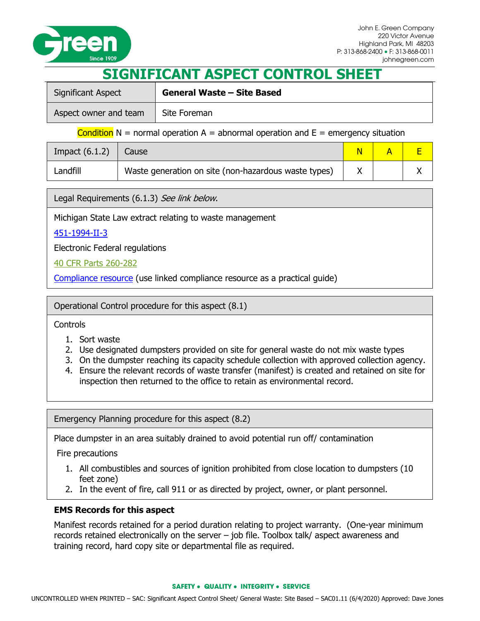

## **SIGNIFICANT ASPECT CONTROL SHEET**

| Significant Aspect    | <b>General Waste - Site Based</b> |  |
|-----------------------|-----------------------------------|--|
| Aspect owner and team | Site Foreman                      |  |

Condition  $N =$  normal operation  $A =$  abnormal operation and  $E =$  emergency situation

| Impact $(6.1.2)$ | Cause                                                |  |  |
|------------------|------------------------------------------------------|--|--|
| Landfill         | Waste generation on site (non-hazardous waste types) |  |  |

Legal Requirements (6.1.3) See link below.

Michigan State Law extract relating to waste management

## [451-1994-II-3](http://www.legislature.mi.gov/(S(b2zc00jhkftl0i45rcqxxqyf))/mileg.aspx?page=getObject&objectName=mcl-451-1994-II-3)

Electronic Federal regulations

## [40 CFR Parts 260-282](http://www.epa.gov/osw/laws-regs/regs-haz.htm)

[Compliance resource](http://www2.epa.gov/regulatory-information-sector/construction-sector-naics-23) (use linked compliance resource as a practical guide)

Operational Control procedure for this aspect (8.1)

**Controls** 

- 1. Sort waste
- 2. Use designated dumpsters provided on site for general waste do not mix waste types
- 3. On the dumpster reaching its capacity schedule collection with approved collection agency.
- 4. Ensure the relevant records of waste transfer (manifest) is created and retained on site for inspection then returned to the office to retain as environmental record.

Emergency Planning procedure for this aspect (8.2)

Place dumpster in an area suitably drained to avoid potential run off/ contamination

Fire precautions

- 1. All combustibles and sources of ignition prohibited from close location to dumpsters (10 feet zone)
- 2. In the event of fire, call 911 or as directed by project, owner, or plant personnel.

## **EMS Records for this aspect**

Manifest records retained for a period duration relating to project warranty. (One-year minimum records retained electronically on the server – job file. Toolbox talk/ aspect awareness and training record, hard copy site or departmental file as required.